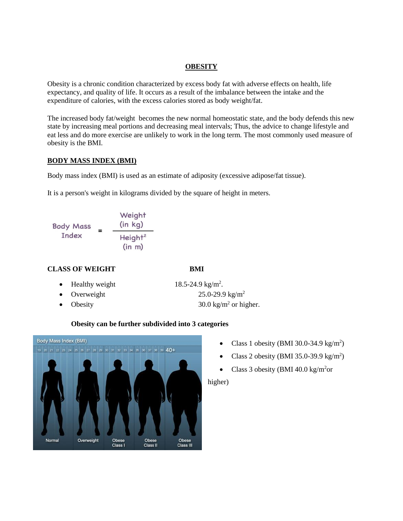#### **OBESITY**

Obesity is a chronic condition characterized by excess body fat with adverse effects on health, life expectancy, and quality of life. It occurs as a result of the imbalance between the intake and the expenditure of calories, with the excess calories stored as body weight/fat.

The increased body fat/weight becomes the new normal homeostatic state, and the body defends this new state by increasing meal portions and decreasing meal intervals; Thus, the advice to change lifestyle and eat less and do more exercise are unlikely to work in the long term. The most commonly used measure of obesity is the BMI.

# **BODY MASS INDEX (BMI)**

Body mass index (BMI) is used as an estimate of adiposity (excessive adipose/fat tissue).

It is a person's weight in kilograms divided by the square of height in meters.



# **CLASS OF WEIGHT BMI**

- Healthy weight
- 
- 

18.5-24.9  $\text{kg/m}^2$ . • Overweight  $25.0-29.9 \text{ kg/m}^2$ Obesity 30.0 kg/m<sup>2</sup> or higher.

# **Obesity can be further subdivided into 3 categories**



- Class 1 obesity (BMI 30.0-34.9 kg/m<sup>2</sup>)
- Class 2 obesity (BMI 35.0-39.9 kg/m<sup>2</sup>)
- Class 3 obesity (BMI 40.0 kg/m<sup>2</sup>or

higher)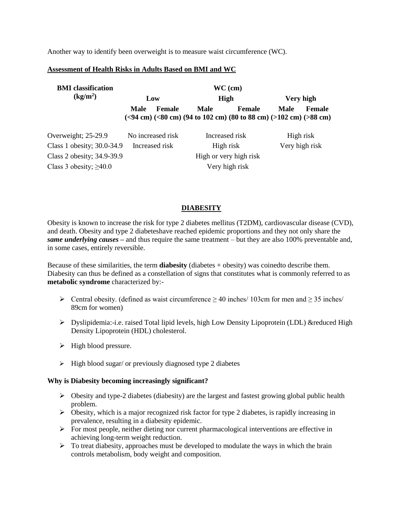Another way to identify been overweight is to measure waist circumference (WC).

#### **Assessment of Health Risks in Adults Based on BMI and WC**

| <b>BMI</b> classification<br>(kg/m <sup>2</sup> ) | $WC$ (cm)              |               |                |                                                                                   |                |               |
|---------------------------------------------------|------------------------|---------------|----------------|-----------------------------------------------------------------------------------|----------------|---------------|
|                                                   | Low                    |               | <b>High</b>    |                                                                                   | Very high      |               |
|                                                   | Male                   | <b>Female</b> | Male           | <b>Female</b><br>$(94 cm) (80 cm) (94 to 102 cm) (80 to 88 cm) (5102 cm) (58 cm)$ | Male           | <b>Female</b> |
| Overweight; 25-29.9                               | No increased risk      |               | Increased risk |                                                                                   | High risk      |               |
| Class 1 obesity; 30.0-34.9                        | Increased risk         |               | High risk      |                                                                                   | Very high risk |               |
| Class 2 obesity; 34.9-39.9                        | High or very high risk |               |                |                                                                                   |                |               |
| Class 3 obesity; $\geq 40.0$                      | Very high risk         |               |                |                                                                                   |                |               |

# **DIABESITY**

Obesity is known to increase the risk for type 2 diabetes mellitus (T2DM), cardiovascular disease (CVD), and death. Obesity and type 2 diabeteshave reached epidemic proportions and they not only share the *same underlying causes* **–** and thus require the same treatment – but they are also 100% preventable and, in some cases, entirely reversible.

Because of these similarities, the term **diabesity** (diabetes + obesity) was coinedto describe them. Diabesity can thus be defined as a constellation of signs that constitutes what is commonly referred to as **metabolic syndrome** characterized by:-

- $\triangleright$  Central obesity. (defined as waist circumference ≥ 40 inches/ 103cm for men and ≥ 35 inches/ 89cm for women)
- $\triangleright$  Dyslipidemia:-i.e. raised Total lipid levels, high Low Density Lipoprotein (LDL) & reduced High Density Lipoprotein (HDL) cholesterol.
- $\triangleright$  High blood pressure.
- $\triangleright$  High blood sugar/ or previously diagnosed type 2 diabetes

# **Why is Diabesity becoming increasingly significant?**

- $\triangleright$  Obesity and type-2 diabetes (diabesity) are the largest and fastest growing global public health problem.
- $\triangleright$  Obesity, which is a major recognized risk factor for type 2 diabetes, is rapidly increasing in prevalence, resulting in a diabesity epidemic.
- $\triangleright$  For most people, neither dieting nor current pharmacological interventions are effective in achieving long-term weight reduction.
- $\triangleright$  To treat diabesity, approaches must be developed to modulate the ways in which the brain controls metabolism, body weight and composition.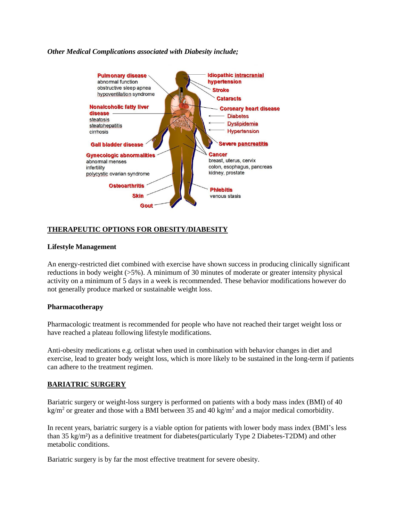#### *Other Medical Complications associated with Diabesity include;*



# **THERAPEUTIC OPTIONS FOR OBESITY/DIABESITY**

#### **Lifestyle Management**

An energy-restricted diet combined with exercise have shown success in producing clinically significant reductions in body weight  $(55\%)$ . A minimum of 30 minutes of moderate or greater intensity physical activity on a minimum of 5 days in a week is recommended. These behavior modifications however do not generally produce marked or sustainable weight loss.

#### **Pharmacotherapy**

Pharmacologic treatment is recommended for people who have not reached their target weight loss or have reached a plateau following lifestyle modifications.

Anti-obesity medications e.g. orlistat when used in combination with behavior changes in diet and exercise, lead to greater body weight loss, which is more likely to be sustained in the long-term if patients can adhere to the treatment regimen.

# **BARIATRIC SURGERY**

Bariatric surgery or weight-loss surgery is performed on patients with a body mass index (BMI) of 40 kg/m<sup>2</sup> or greater and those with a BMI between 35 and 40 kg/m<sup>2</sup> and a major medical comorbidity.

In recent years, bariatric surgery is a viable option for patients with lower body mass index (BMI's less than 35 kg/m²) as a definitive treatment for diabetes(particularly Type 2 Diabetes-T2DM) and other metabolic conditions.

Bariatric surgery is by far the most effective treatment for severe obesity.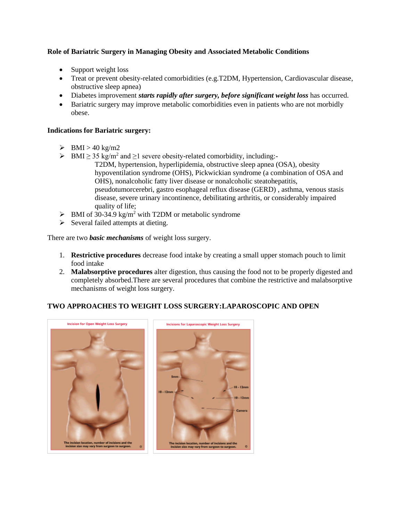# **Role of Bariatric Surgery in Managing Obesity and Associated Metabolic Conditions**

- Support weight loss
- Treat or prevent obesity-related comorbidities (e.g.T2DM, Hypertension, Cardiovascular disease, obstructive sleep apnea)
- Diabetes improvement *starts rapidly after surgery, before significant weight loss* has occurred.
- Bariatric surgery may improve metabolic comorbidities even in patients who are not morbidly obese.

# **Indications for Bariatric surgery:**

- $\triangleright$  BMI > 40 kg/m2
- $\triangleright$  BMI  $\geq$  35 kg/m<sup>2</sup> and  $\geq$ 1 severe obesity-related comorbidity, including:-T2DM, hypertension, hyperlipidemia, obstructive sleep apnea (OSA), obesity hypoventilation syndrome (OHS), Pickwickian syndrome (a combination of OSA and OHS), nonalcoholic fatty liver disease or nonalcoholic steatohepatitis, pseudotumorcerebri, gastro esophageal reflux disease (GERD) , asthma, venous stasis disease, severe urinary incontinence, debilitating arthritis, or considerably impaired quality of life;
- $\triangleright$  BMI of 30-34.9 kg/m<sup>2</sup> with T2DM or metabolic syndrome
- $\triangleright$  Several failed attempts at dieting.

There are two *basic mechanisms* of weight loss surgery.

- 1. **Restrictive procedures** decrease food intake by creating a small upper stomach pouch to limit food intake
- 2. **Malabsorptive procedures** alter digestion, thus causing the food not to be properly digested and completely absorbed.There are several procedures that combine the restrictive and malabsorptive mechanisms of weight loss surgery.

# **TWO APPROACHES TO WEIGHT LOSS SURGERY:LAPAROSCOPIC AND OPEN**

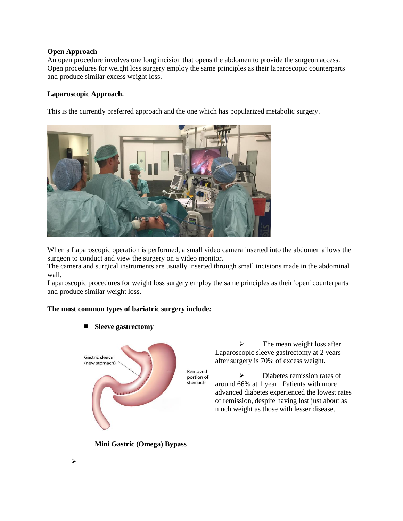#### **Open Approach**

An open procedure involves one long incision that opens the abdomen to provide the surgeon access. Open procedures for weight loss surgery employ the same principles as their laparoscopic counterparts and produce similar excess weight loss.

# **Laparoscopic Approach.**

This is the currently preferred approach and the one which has popularized metabolic surgery.



When a Laparoscopic operation is performed, a small video camera inserted into the abdomen allows the surgeon to conduct and view the surgery on a video monitor.

The camera and surgical instruments are usually inserted through small incisions made in the abdominal wall.

Laparoscopic procedures for weight loss surgery employ the same principles as their 'open' counterparts and produce similar weight loss.

# **The most common types of bariatric surgery include***:*

**Sleeve gastrectomy**



 The mean weight loss after Laparoscopic sleeve gastrectomy at 2 years after surgery is 70% of excess weight.

 Diabetes remission rates of around 66% at 1 year. Patients with more advanced diabetes experienced the lowest rates of remission, despite having lost just about as much weight as those with lesser disease.

**Mini Gastric (Omega) Bypass**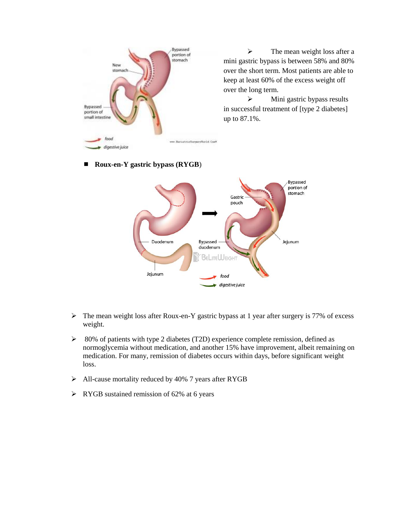

 $\triangleright$  The mean weight loss after a mini gastric bypass is between 58% and 80% over the short term. Most patients are able to keep at least 60% of the excess weight off over the long term.

 $\triangleright$  Mini gastric bypass results in successful treatment of [type 2 diabetes] up to 87.1%.

#### **Roux-en-Y gastric bypass (RYGB**)



- $\triangleright$  The mean weight loss after Roux-en-Y gastric bypass at 1 year after surgery is 77% of excess weight.
- $\geq$  80% of patients with type 2 diabetes (T2D) experience complete remission, defined as normoglycemia without medication, and another 15% have improvement, albeit remaining on medication. For many, remission of diabetes occurs within days, before significant weight loss.
- All-cause mortality reduced by 40% 7 years after RYGB
- $\triangleright$  RYGB sustained remission of 62% at 6 years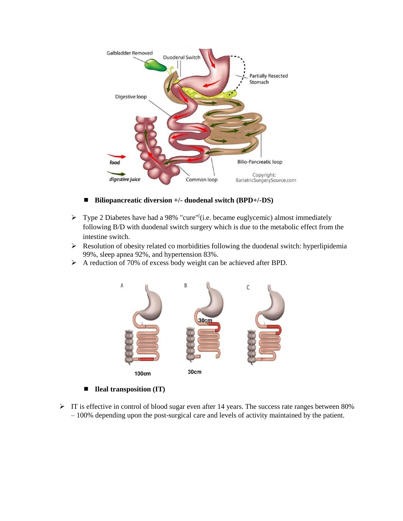

- Biliopancreatic diversion +/- duodenal switch (BPD+/-DS)
- $\triangleright$  Type 2 Diabetes have had a 98% "cure"<sup>[</sup>(i.e. became euglycemic) almost immediately following B/D with duodenal switch surgery which is due to the metabolic effect from the intestine switch.
- Resolution of obesity related co morbidities following the duodenal switch: hyperlipidemia 99%, sleep apnea 92%, and hypertension 83%.
- A reduction of 70% of excess body weight can be achieved after BPD.



- **Ileal transposition (IT)**
- $\triangleright$  IT is effective in control of blood sugar even after 14 years. The success rate ranges between 80% – 100% depending upon the post-surgical care and levels of activity maintained by the patient.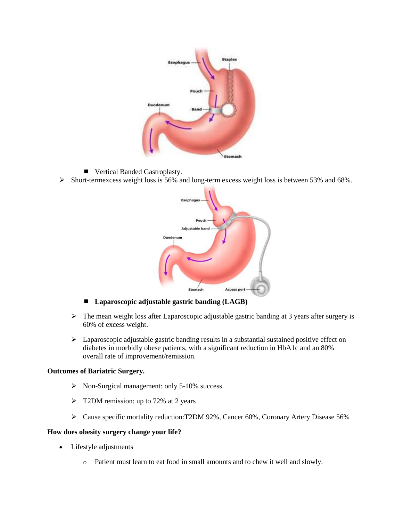

- Vertical Banded Gastroplasty.
- Short-termexcess weight loss is 56% and long-term excess weight loss is between 53% and 68%.



- Laparoscopic adjustable gastric banding (LAGB)
- $\triangleright$  The mean weight loss after Laparoscopic adjustable gastric banding at 3 years after surgery is 60% of excess weight.
- $\triangleright$  Laparoscopic adjustable gastric banding results in a substantial sustained positive effect on diabetes in morbidly obese patients, with a significant reduction in HbA1c and an 80% overall rate of improvement/remission.

# **Outcomes of Bariatric Surgery.**

- $\triangleright$  Non-Surgical management: only 5-10% success
- $\triangleright$  T2DM remission: up to 72% at 2 years
- Cause specific mortality reduction:T2DM 92%, Cancer 60%, Coronary Artery Disease 56%

#### **How does obesity surgery change your life?**

- Lifestyle adjustments
	- o Patient must learn to eat food in small amounts and to chew it well and slowly.